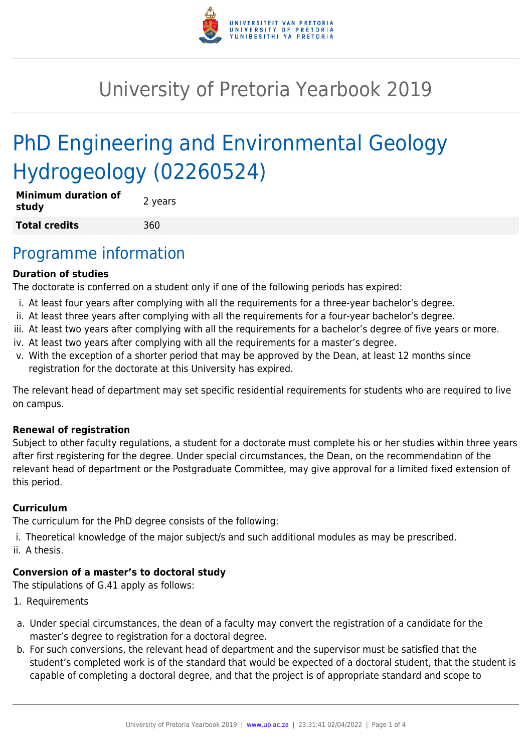

# University of Pretoria Yearbook 2019

# PhD Engineering and Environmental Geology Hydrogeology (02260524)

| <b>Minimum duration of</b><br>study | 2 years |
|-------------------------------------|---------|
| <b>Total credits</b>                | 360     |

### Programme information

#### **Duration of studies**

The doctorate is conferred on a student only if one of the following periods has expired:

- i. At least four years after complying with all the requirements for a three-year bachelor's degree.
- ii. At least three years after complying with all the requirements for a four-year bachelor's degree.
- iii. At least two years after complying with all the requirements for a bachelor's degree of five years or more.
- iv. At least two years after complying with all the requirements for a master's degree.
- v. With the exception of a shorter period that may be approved by the Dean, at least 12 months since registration for the doctorate at this University has expired.

The relevant head of department may set specific residential requirements for students who are required to live on campus.

#### **Renewal of registration**

Subject to other faculty regulations, a student for a doctorate must complete his or her studies within three years after first registering for the degree. Under special circumstances, the Dean, on the recommendation of the relevant head of department or the Postgraduate Committee, may give approval for a limited fixed extension of this period.

#### **Curriculum**

The curriculum for the PhD degree consists of the following:

i. Theoretical knowledge of the major subject/s and such additional modules as may be prescribed. ii. A thesis.

#### **Conversion of a master's to doctoral study**

The stipulations of G.41 apply as follows:

- 1. Requirements
- a. Under special circumstances, the dean of a faculty may convert the registration of a candidate for the master's degree to registration for a doctoral degree.
- b. For such conversions, the relevant head of department and the supervisor must be satisfied that the student's completed work is of the standard that would be expected of a doctoral student, that the student is capable of completing a doctoral degree, and that the project is of appropriate standard and scope to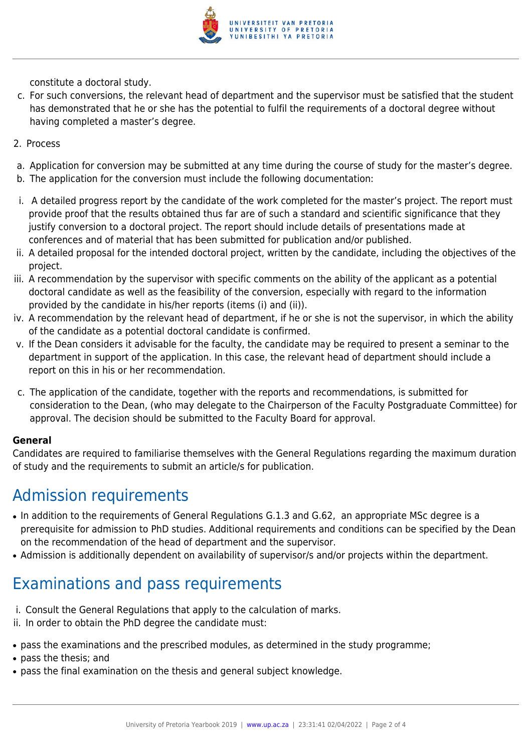

constitute a doctoral study.

- c. For such conversions, the relevant head of department and the supervisor must be satisfied that the student has demonstrated that he or she has the potential to fulfil the requirements of a doctoral degree without having completed a master's degree.
- 2. Process
- a. Application for conversion may be submitted at any time during the course of study for the master's degree.
- b. The application for the conversion must include the following documentation:
- i. A detailed progress report by the candidate of the work completed for the master's project. The report must provide proof that the results obtained thus far are of such a standard and scientific significance that they justify conversion to a doctoral project. The report should include details of presentations made at conferences and of material that has been submitted for publication and/or published.
- ii. A detailed proposal for the intended doctoral project, written by the candidate, including the objectives of the project.
- iii. A recommendation by the supervisor with specific comments on the ability of the applicant as a potential doctoral candidate as well as the feasibility of the conversion, especially with regard to the information provided by the candidate in his/her reports (items (i) and (ii)).
- iv. A recommendation by the relevant head of department, if he or she is not the supervisor, in which the ability of the candidate as a potential doctoral candidate is confirmed.
- v. If the Dean considers it advisable for the faculty, the candidate may be required to present a seminar to the department in support of the application. In this case, the relevant head of department should include a report on this in his or her recommendation.
- c. The application of the candidate, together with the reports and recommendations, is submitted for consideration to the Dean, (who may delegate to the Chairperson of the Faculty Postgraduate Committee) for approval. The decision should be submitted to the Faculty Board for approval.

#### **General**

Candidates are required to familiarise themselves with the General Regulations regarding the maximum duration of study and the requirements to submit an article/s for publication.

### Admission requirements

- In addition to the requirements of General Regulations G.1.3 and G.62, an appropriate MSc degree is a prerequisite for admission to PhD studies. Additional requirements and conditions can be specified by the Dean on the recommendation of the head of department and the supervisor.
- Admission is additionally dependent on availability of supervisor/s and/or projects within the department.

## Examinations and pass requirements

- i. Consult the General Regulations that apply to the calculation of marks.
- ii. In order to obtain the PhD degree the candidate must:
- pass the examinations and the prescribed modules, as determined in the study programme;
- pass the thesis; and
- pass the final examination on the thesis and general subject knowledge.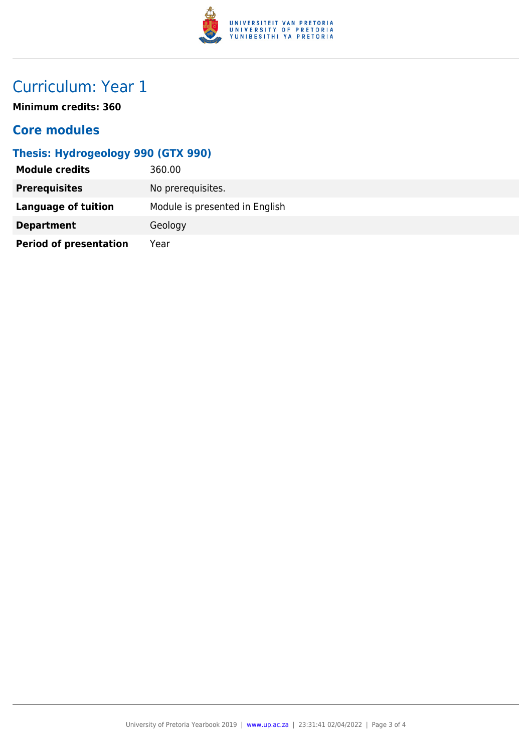

## Curriculum: Year 1

**Minimum credits: 360**

#### **Core modules**

### **Thesis: Hydrogeology 990 (GTX 990)**

| <b>Module credits</b>         | 360.00                         |
|-------------------------------|--------------------------------|
| <b>Prerequisites</b>          | No prerequisites.              |
| Language of tuition           | Module is presented in English |
| <b>Department</b>             | Geology                        |
| <b>Period of presentation</b> | Year                           |